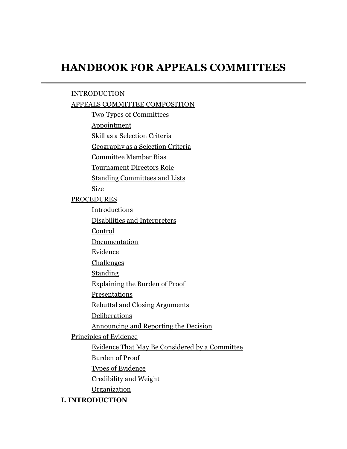# **HANDBOOK FOR APPEALS COMMITTEES**

#### INTRODUCTION

## APPEALS COMMITTEE COMPOSITION

Two Types of Committees

Appointment

Skill as a Selection Criteria

Geography as a Selection Criteria

Committee Member Bias

Tournament Directors Role

Standing Committees and Lists

Size

## PROCEDURES

Introductions

Disabilities and Interpreters

Control

Documentation

Evidence

Challenges

**Standing** 

Explaining the Burden of Proof

Presentations

Rebuttal and Closing Arguments

Deliberations

Announcing and Reporting the Decision

[Principles of Evidence](#page-8-0) 

[Evidence That May Be Considered by a Committee](#page-8-1)

[Burden of Proof](#page-9-0)

[Types of Evidence](#page-9-1)

[Credibility and Weight](#page-10-0)

**[Organization](#page-10-1)** 

## **I. INTRODUCTION**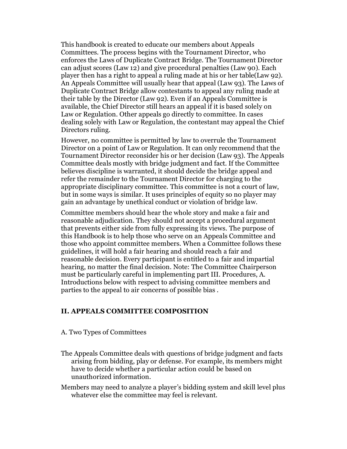This handbook is created to educate our members about Appeals Committees. The process begins with the Tournament Director, who enforces the Laws of Duplicate Contract Bridge. The Tournament Director can adjust scores (Law 12) and give procedural penalties (Law 90). Each player then has a right to appeal a ruling made at his or her table(Law 92). An Appeals Committee will usually hear that appeal (Law 93). The Laws of Duplicate Contract Bridge allow contestants to appeal any ruling made at their table by the Director (Law 92). Even if an Appeals Committee is available, the Chief Director still hears an appeal if it is based solely on Law or Regulation. Other appeals go directly to committee. In cases dealing solely with Law or Regulation, the contestant may appeal the Chief Directors ruling.

However, no committee is permitted by law to overrule the Tournament Director on a point of Law or Regulation. It can only recommend that the Tournament Director reconsider his or her decision (Law 93). The Appeals Committee deals mostly with bridge judgment and fact. If the Committee believes discipline is warranted, it should decide the bridge appeal and refer the remainder to the Tournament Director for charging to the appropriate disciplinary committee. This committee is not a court of law, but in some ways is similar. It uses principles of equity so no player may gain an advantage by unethical conduct or violation of bridge law.

Committee members should hear the whole story and make a fair and reasonable adjudication. They should not accept a procedural argument that prevents either side from fully expressing its views. The purpose of this Handbook is to help those who serve on an Appeals Committee and those who appoint committee members. When a Committee follows these guidelines, it will hold a fair hearing and should reach a fair and reasonable decision. Every participant is entitled to a fair and impartial hearing, no matter the final decision. Note: The Committee Chairperson must be particularly careful in implementing part III. Procedures, A. Introductions below with respect to advising committee members and parties to the appeal to air concerns of possible bias .

#### **II. APPEALS COMMITTEE COMPOSITION**

#### A. Two Types of Committees

- The Appeals Committee deals with questions of bridge judgment and facts arising from bidding, play or defense. For example, its members might have to decide whether a particular action could be based on unauthorized information.
- Members may need to analyze a player's bidding system and skill level plus whatever else the committee may feel is relevant.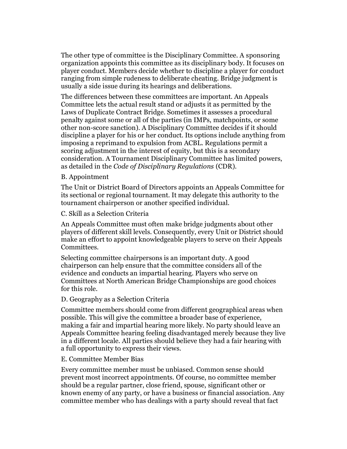The other type of committee is the Disciplinary Committee. A sponsoring organization appoints this committee as its disciplinary body. It focuses on player conduct. Members decide whether to discipline a player for conduct ranging from simple rudeness to deliberate cheating. Bridge judgment is usually a side issue during its hearings and deliberations.

The differences between these committees are important. An Appeals Committee lets the actual result stand or adjusts it as permitted by the Laws of Duplicate Contract Bridge. Sometimes it assesses a procedural penalty against some or all of the parties (in IMPs, matchpoints, or some other non-score sanction). A Disciplinary Committee decides if it should discipline a player for his or her conduct. Its options include anything from imposing a reprimand to expulsion from ACBL. Regulations permit a scoring adjustment in the interest of equity, but this is a secondary consideration. A Tournament Disciplinary Committee has limited powers, as detailed in the *Code of Disciplinary Regulations* (CDR).

## B. Appointment

The Unit or District Board of Directors appoints an Appeals Committee for its sectional or regional tournament. It may delegate this authority to the tournament chairperson or another specified individual.

C. Skill as a Selection Criteria

An Appeals Committee must often make bridge judgments about other players of different skill levels. Consequently, every Unit or District should make an effort to appoint knowledgeable players to serve on their Appeals Committees.

Selecting committee chairpersons is an important duty. A good chairperson can help ensure that the committee considers all of the evidence and conducts an impartial hearing. Players who serve on Committees at North American Bridge Championships are good choices for this role.

#### D. Geography as a Selection Criteria

Committee members should come from different geographical areas when possible. This will give the committee a broader base of experience, making a fair and impartial hearing more likely. No party should leave an Appeals Committee hearing feeling disadvantaged merely because they live in a different locale. All parties should believe they had a fair hearing with a full opportunity to express their views.

#### E. Committee Member Bias

Every committee member must be unbiased. Common sense should prevent most incorrect appointments. Of course, no committee member should be a regular partner, close friend, spouse, significant other or known enemy of any party, or have a business or financial association. Any committee member who has dealings with a party should reveal that fact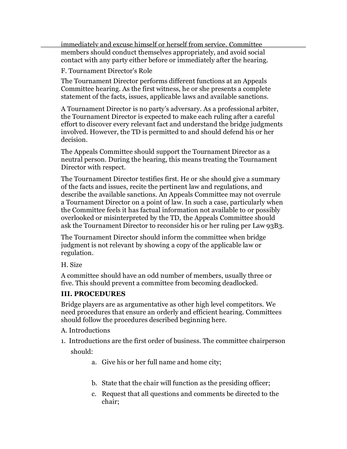immediately and excuse himself or herself from service. Committee members should conduct themselves appropriately, and avoid social contact with any party either before or immediately after the hearing.

## F. Tournament Director's Role

The Tournament Director performs different functions at an Appeals Committee hearing. As the first witness, he or she presents a complete statement of the facts, issues, applicable laws and available sanctions.

A Tournament Director is no party's adversary. As a professional arbiter, the Tournament Director is expected to make each ruling after a careful effort to discover every relevant fact and understand the bridge judgments involved. However, the TD is permitted to and should defend his or her decision.

The Appeals Committee should support the Tournament Director as a neutral person. During the hearing, this means treating the Tournament Director with respect.

The Tournament Director testifies first. He or she should give a summary of the facts and issues, recite the pertinent law and regulations, and describe the available sanctions. An Appeals Committee may not overrule a Tournament Director on a point of law. In such a case, particularly when the Committee feels it has factual information not available to or possibly overlooked or misinterpreted by the TD, the Appeals Committee should ask the Tournament Director to reconsider his or her ruling per Law 93B3.

The Tournament Director should inform the committee when bridge judgment is not relevant by showing a copy of the applicable law or regulation.

H. Size

A committee should have an odd number of members, usually three or five. This should prevent a committee from becoming deadlocked.

# **III. PROCEDURES**

Bridge players are as argumentative as other high level competitors. We need procedures that ensure an orderly and efficient hearing. Committees should follow the procedures described beginning here.

# A. Introductions

- 1. Introductions are the first order of business. The committee chairperson should:
	- a. Give his or her full name and home city;
	- b. State that the chair will function as the presiding officer;
	- c. Request that all questions and comments be directed to the chair;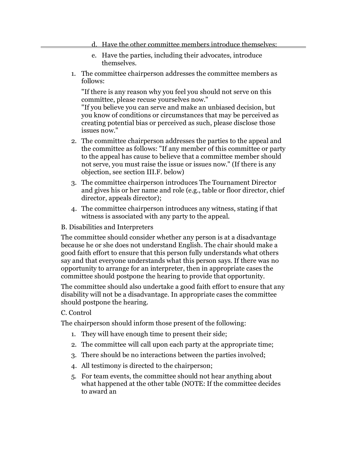- d. Have the other committee members introduce themselves;
- e. Have the parties, including their advocates, introduce themselves.
- 1. The committee chairperson addresses the committee members as follows:

"If there is any reason why you feel you should not serve on this committee, please recuse yourselves now."

"If you believe you can serve and make an unbiased decision, but you know of conditions or circumstances that may be perceived as creating potential bias or perceived as such, please disclose those issues now."

- 2. The committee chairperson addresses the parties to the appeal and the committee as follows: "If any member of this committee or party to the appeal has cause to believe that a committee member should not serve, you must raise the issue or issues now." (If there is any objection, see section III.F. below)
- 3. The committee chairperson introduces The Tournament Director and gives his or her name and role (e.g., table or floor director, chief director, appeals director);
- 4. The committee chairperson introduces any witness, stating if that witness is associated with any party to the appeal.

# B. Disabilities and Interpreters

The committee should consider whether any person is at a disadvantage because he or she does not understand English. The chair should make a good faith effort to ensure that this person fully understands what others say and that everyone understands what this person says. If there was no opportunity to arrange for an interpreter, then in appropriate cases the committee should postpone the hearing to provide that opportunity.

The committee should also undertake a good faith effort to ensure that any disability will not be a disadvantage. In appropriate cases the committee should postpone the hearing.

## C. Control

The chairperson should inform those present of the following:

- 1. They will have enough time to present their side;
- 2. The committee will call upon each party at the appropriate time;
- 3. There should be no interactions between the parties involved;
- 4. All testimony is directed to the chairperson;
- 5. For team events, the committee should not hear anything about what happened at the other table (NOTE: If the committee decides to award an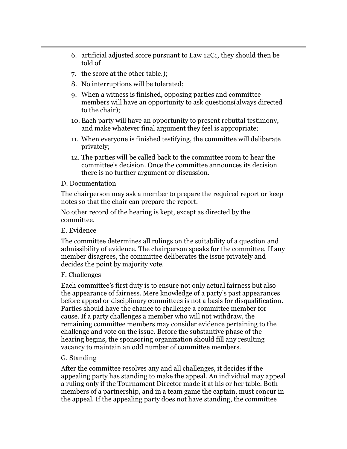- 6. artificial adjusted score pursuant to Law 12C1, they should then be told of
- 7. the score at the other table.);
- 8. No interruptions will be tolerated;
- 9. When a witness is finished, opposing parties and committee members will have an opportunity to ask questions(always directed to the chair);
- 10. Each party will have an opportunity to present rebuttal testimony, and make whatever final argument they feel is appropriate;
- 11. When everyone is finished testifying, the committee will deliberate privately;
- 12. The parties will be called back to the committee room to hear the committee's decision. Once the committee announces its decision there is no further argument or discussion.

## D. Documentation

The chairperson may ask a member to prepare the required report or keep notes so that the chair can prepare the report.

No other record of the hearing is kept, except as directed by the committee.

## E. Evidence

The committee determines all rulings on the suitability of a question and admissibility of evidence. The chairperson speaks for the committee. If any member disagrees, the committee deliberates the issue privately and decides the point by majority vote.

## F. Challenges

Each committee's first duty is to ensure not only actual fairness but also the appearance of fairness. Mere knowledge of a party's past appearances before appeal or disciplinary committees is not a basis for disqualification. Parties should have the chance to challenge a committee member for cause. If a party challenges a member who will not withdraw, the remaining committee members may consider evidence pertaining to the challenge and vote on the issue. Before the substantive phase of the hearing begins, the sponsoring organization should fill any resulting vacancy to maintain an odd number of committee members.

## G. Standing

After the committee resolves any and all challenges, it decides if the appealing party has standing to make the appeal. An individual may appeal a ruling only if the Tournament Director made it at his or her table. Both members of a partnership, and in a team game the captain, must concur in the appeal. If the appealing party does not have standing, the committee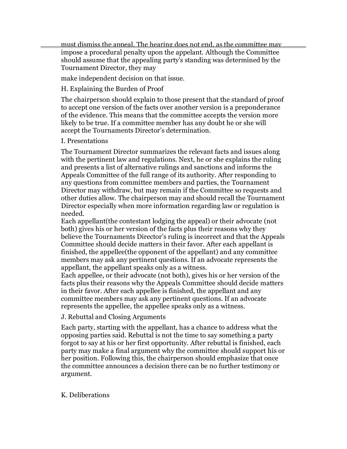must dismiss the appeal. The hearing does not end, as the committee may impose a procedural penalty upon the appelant. Although the Committee should assume that the appealing party's standing was determined by the Tournament Director, they may

make independent decision on that issue.

# H. Explaining the Burden of Proof

The chairperson should explain to those present that the standard of proof to accept one version of the facts over another version is a preponderance of the evidence. This means that the committee accepts the version more likely to be true. If a committee member has any doubt he or she will accept the Tournaments Director's determination.

# I. Presentations

The Tournament Director summarizes the relevant facts and issues along with the pertinent law and regulations. Next, he or she explains the ruling and presents a list of alternative rulings and sanctions and informs the Appeals Committee of the full range of its authority. After responding to any questions from committee members and parties, the Tournament Director may withdraw, but may remain if the Committee so requests and other duties allow. The chairperson may and should recall the Tournament Director especially when more information regarding law or regulation is needed.

Each appellant(the contestant lodging the appeal) or their advocate (not both) gives his or her version of the facts plus their reasons why they believe the Tournaments Director's ruling is incorrect and that the Appeals Committee should decide matters in their favor. After each appellant is finished, the appellee(the opponent of the appellant) and any committee members may ask any pertinent questions. If an advocate represents the appellant, the appellant speaks only as a witness.

Each appellee, or their advocate (not both), gives his or her version of the facts plus their reasons why the Appeals Committee should decide matters in their favor. After each appellee is finished, the appellant and any committee members may ask any pertinent questions. If an advocate represents the appellee, the appellee speaks only as a witness.

# J. Rebuttal and Closing Arguments

Each party, starting with the appellant, has a chance to address what the opposing parties said. Rebuttal is not the time to say something a party forgot to say at his or her first opportunity. After rebuttal is finished, each party may make a final argument why the committee should support his or her position. Following this, the chairperson should emphasize that once the committee announces a decision there can be no further testimony or argument.

# K. Deliberations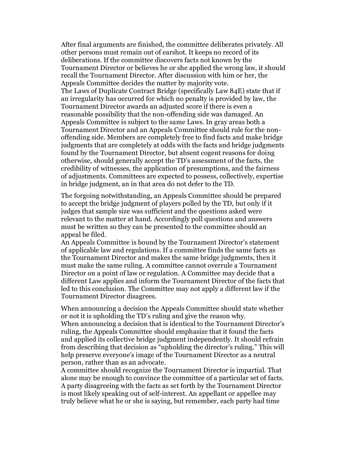After final arguments are finished, the committee deliberates privately. All other persons must remain out of earshot. It keeps no record of its deliberations. If the committee discovers facts not known by the Tournament Director or believes he or she applied the wrong law, it should recall the Tournament Director. After discussion with him or her, the Appeals Committee decides the matter by majority vote. The Laws of Duplicate Contract Bridge (specifically Law 84E) state that if an irregularity has occurred for which no penalty is provided by law, the Tournament Director awards an adjusted score if there is even a reasonable possibility that the non-offending side was damaged. An Appeals Committee is subject to the same Laws. In gray areas both a Tournament Director and an Appeals Committee should rule for the nonoffending side. Members are completely free to find facts and make bridge judgments that are completely at odds with the facts and bridge judgments found by the Tournament Director, but absent cogent reasons for doing otherwise, should generally accept the TD's assessment of the facts, the credibility of witnesses, the application of presumptions, and the fairness of adjustments. Committees are expected to possess, collectively, expertise in bridge judgment, an in that area do not defer to the TD.

The forgoing notwithstanding, an Appeals Committee should be prepared to accept the bridge judgment of players polled by the TD, but only if it judges that sample size was sufficient and the questions asked were relevant to the matter at hand. Accordingly poll questions and answers must be written so they can be presented to the committee should an appeal be filed.

An Appeals Committee is bound by the Tournament Director's statement of applicable law and regulations. If a committee finds the same facts as the Tournament Director and makes the same bridge judgments, then it must make the same ruling. A committee cannot overrule a Tournament Director on a point of law or regulation. A Committee may decide that a different Law applies and inform the Tournament Director of the facts that led to this conclusion. The Committee may not apply a different law if the Tournament Director disagrees.

When announcing a decision the Appeals Committee should state whether or not it is upholding the TD's ruling and give the reason why. When announcing a decision that is identical to the Tournament Director's ruling, the Appeals Committee should emphasize that it found the facts and applied its collective bridge judgment independently. It should refrain from describing that decision as "upholding the director's ruling." This will help preserve everyone's image of the Tournament Director as a neutral person, rather than as an advocate.

A committee should recognize the Tournament Director is impartial. That alone may be enough to convince the committee of a particular set of facts. A party disagreeing with the facts as set forth by the Tournament Director is most likely speaking out of self-interest. An appellant or appellee may truly believe what he or she is saying, but remember, each party had time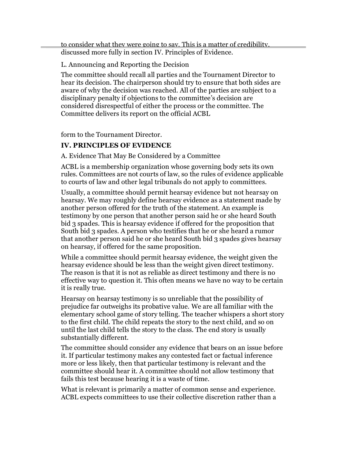to consider what they were going to say. This is a matter of credibility, discussed more fully in section IV. Principles of Evidence.

L. Announcing and Reporting the Decision

The committee should recall all parties and the Tournament Director to hear its decision. The chairperson should try to ensure that both sides are aware of why the decision was reached. All of the parties are subject to a disciplinary penalty if objections to the committee's decision are considered disrespectful of either the process or the committee. The Committee delivers its report on the official ACBL

form to the Tournament Director.

# <span id="page-8-0"></span>**IV. PRINCIPLES OF EVIDENCE**

<span id="page-8-1"></span>A. Evidence That May Be Considered by a Committee

ACBL is a membership organization whose governing body sets its own rules. Committees are not courts of law, so the rules of evidence applicable to courts of law and other legal tribunals do not apply to committees.

Usually, a committee should permit hearsay evidence but not hearsay on hearsay. We may roughly define hearsay evidence as a statement made by another person offered for the truth of the statement. An example is testimony by one person that another person said he or she heard South bid 3 spades. This is hearsay evidence if offered for the proposition that South bid 3 spades. A person who testifies that he or she heard a rumor that another person said he or she heard South bid 3 spades gives hearsay on hearsay, if offered for the same proposition.

While a committee should permit hearsay evidence, the weight given the hearsay evidence should be less than the weight given direct testimony. The reason is that it is not as reliable as direct testimony and there is no effective way to question it. This often means we have no way to be certain it is really true.

Hearsay on hearsay testimony is so unreliable that the possibility of prejudice far outweighs its probative value. We are all familiar with the elementary school game of story telling. The teacher whispers a short story to the first child. The child repeats the story to the next child, and so on until the last child tells the story to the class. The end story is usually substantially different.

The committee should consider any evidence that bears on an issue before it. If particular testimony makes any contested fact or factual inference more or less likely, then that particular testimony is relevant and the committee should hear it. A committee should not allow testimony that fails this test because hearing it is a waste of time.

What is relevant is primarily a matter of common sense and experience. ACBL expects committees to use their collective discretion rather than a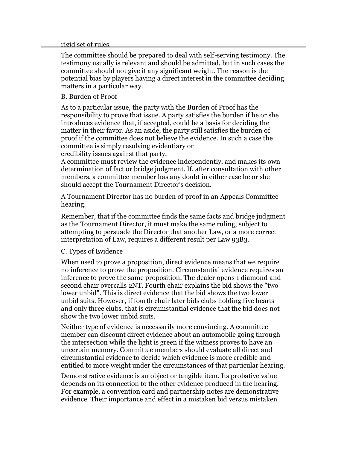#### rigid set of rules.

The committee should be prepared to deal with self-serving testimony. The testimony usually is relevant and should be admitted, but in such cases the committee should not give it any significant weight. The reason is the potential bias by players having a direct interest in the committee deciding matters in a particular way.

#### <span id="page-9-0"></span>B. Burden of Proof

As to a particular issue, the party with the Burden of Proof has the responsibility to prove that issue. A party satisfies the burden if he or she introduces evidence that, if accepted, could be a basis for deciding the matter in their favor. As an aside, the party still satisfies the burden of proof if the committee does not believe the evidence. In such a case the committee is simply resolving evidentiary or credibility issues against that party.

A committee must review the evidence independently, and makes its own determination of fact or bridge judgment. If, after consultation with other members, a committee member has any doubt in either case he or she should accept the Tournament Director's decision.

A Tournament Director has no burden of proof in an Appeals Committee hearing.

Remember, that if the committee finds the same facts and bridge judgment as the Tournament Director, it must make the same ruling, subject to attempting to persuade the Director that another Law, or a more correct interpretation of Law, requires a different result per Law 93B3.

## <span id="page-9-1"></span>C. Types of Evidence

When used to prove a proposition, direct evidence means that we require no inference to prove the proposition. Circumstantial evidence requires an inference to prove the same proposition. The dealer opens 1 diamond and second chair overcalls 2NT. Fourth chair explains the bid shows the "two lower unbid". This is direct evidence that the bid shows the two lower unbid suits. However, if fourth chair later bids clubs holding five hearts and only three clubs, that is circumstantial evidence that the bid does not show the two lower unbid suits.

Neither type of evidence is necessarily more convincing. A committee member can discount direct evidence about an automobile going through the intersection while the light is green if the witness proves to have an uncertain memory. Committee members should evaluate all direct and circumstantial evidence to decide which evidence is more credible and entitled to more weight under the circumstances of that particular hearing.

Demonstrative evidence is an object or tangible item. Its probative value depends on its connection to the other evidence produced in the hearing. For example, a convention card and partnership notes are demonstrative evidence. Their importance and effect in a mistaken bid versus mistaken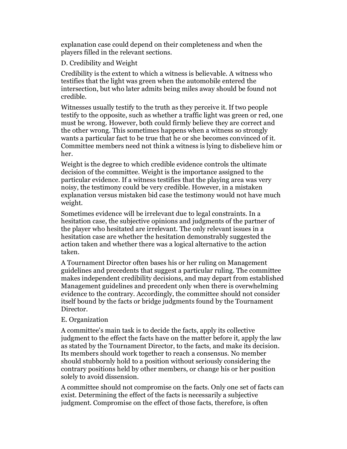explanation case could depend on their completeness and when the players filled in the relevant sections.

<span id="page-10-0"></span>D. Credibility and Weight

Credibility is the extent to which a witness is believable. A witness who testifies that the light was green when the automobile entered the intersection, but who later admits being miles away should be found not credible.

Witnesses usually testify to the truth as they perceive it. If two people testify to the opposite, such as whether a traffic light was green or red, one must be wrong. However, both could firmly believe they are correct and the other wrong. This sometimes happens when a witness so strongly wants a particular fact to be true that he or she becomes convinced of it. Committee members need not think a witness is lying to disbelieve him or her.

Weight is the degree to which credible evidence controls the ultimate decision of the committee. Weight is the importance assigned to the particular evidence. If a witness testifies that the playing area was very noisy, the testimony could be very credible. However, in a mistaken explanation versus mistaken bid case the testimony would not have much weight.

Sometimes evidence will be irrelevant due to legal constraints. In a hesitation case, the subjective opinions and judgments of the partner of the player who hesitated are irrelevant. The only relevant issues in a hesitation case are whether the hesitation demonstrably suggested the action taken and whether there was a logical alternative to the action taken.

A Tournament Director often bases his or her ruling on Management guidelines and precedents that suggest a particular ruling. The committee makes independent credibility decisions, and may depart from established Management guidelines and precedent only when there is overwhelming evidence to the contrary. Accordingly, the committee should not consider itself bound by the facts or bridge judgments found by the Tournament Director.

## <span id="page-10-1"></span>E. Organization

A committee's main task is to decide the facts, apply its collective judgment to the effect the facts have on the matter before it, apply the law as stated by the Tournament Director, to the facts, and make its decision. Its members should work together to reach a consensus. No member should stubbornly hold to a position without seriously considering the contrary positions held by other members, or change his or her position solely to avoid dissension.

A committee should not compromise on the facts. Only one set of facts can exist. Determining the effect of the facts is necessarily a subjective judgment. Compromise on the effect of those facts, therefore, is often